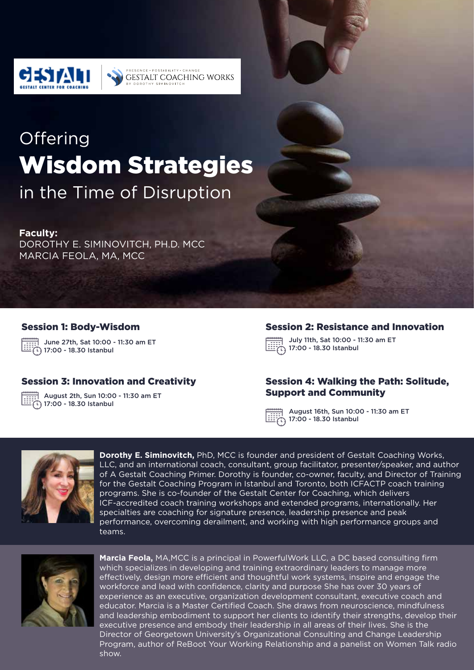

# **Offering** Wisdom Strategies

**CCCNCC . DOCCIDILITY . CUANCE** 

DOROTHY SIMINOVITO

**GESTALT COACHING WORKS** 

in the Time of Disruption

#### **Faculty:**

DOROTHY E. SIMINOVITCH, PH.D. MCC MARCIA FEOLA, MA, MCC

#### Session 1: Body-Wisdom

June 27th, Sat 10:00 - 11:30 am ET  $\widehat{[1]}$  17:00 - 18.30 Istanbul

#### Session 3: Innovation and Creativity

August 2th, Sun 10:00 - 11:30 am ET  $(1)$  17:00 - 18.30 Istanbul

#### Session 2: Resistance and Innovation

July 11th, Sat 10:00 - 11:30 am ET  $75.17:00 - 18.30$  Istanbul

#### Session 4: Walking the Path: Solitude, Support and Community

August 16th, Sun 10:00 - 11:30 am ET  $\vec{r}$ 17:00 - 18.30 Istanbul



**Dorothy E. Siminovitch,** PhD, MCC is founder and president of Gestalt Coaching Works, LLC, and an international coach, consultant, group facilitator, presenter/speaker, and author of A Gestalt Coaching Primer. Dorothy is founder, co-owner, faculty, and Director of Training for the Gestalt Coaching Program in Istanbul and Toronto, both ICFACTP coach training programs. She is co-founder of the Gestalt Center for Coaching, which delivers ICF-accredited coach training workshops and extended programs, internationally. Her specialties are coaching for signature presence, leadership presence and peak performance, overcoming derailment, and working with high performance groups and teams.



**Marcia Feola,** MA,MCC is a principal in PowerfulWork LLC, a DC based consulting firm which specializes in developing and training extraordinary leaders to manage more effectively, design more efficient and thoughtful work systems, inspire and engage the workforce and lead with confidence, clarity and purpose She has over 30 years of experience as an executive, organization development consultant, executive coach and educator. Marcia is a Master Certified Coach. She draws from neuroscience, mindfulness and leadership embodiment to support her clients to identify their strengths, develop their executive presence and embody their leadership in all areas of their lives. She is the Director of Georgetown University's Organizational Consulting and Change Leadership Program, author of ReBoot Your Working Relationship and a panelist on Women Talk radio show.